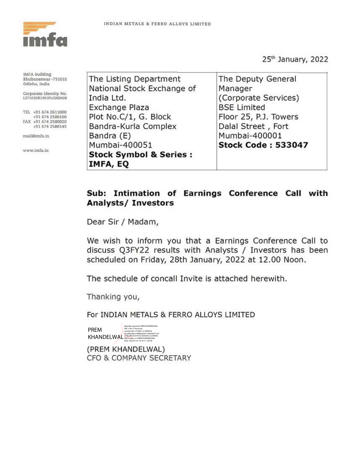

25<sup>th</sup> January, 2022

**IMFA** Building Bhubaneswar-751010 Odisha, India Corporate Identity No. L27101OR1961PLC000428 TEL +91 674 2611000 +91 674 2580100 FAX +91 674 2580020 +91 674 2580145 mail@imfa.in

www.imfa.in

The Listing Department The Deputy General National Stock Exchange of Manager India Ltd. (Corporate Services) **BSE Limited** Exchange Plaza Floor 25, P.J. Towers Plot No.C/1, G. Block Dalal Street, Fort Bandra-Kurla Complex Mumbai-400001 Bandra (E) Mumbai-400051 **Stock Code: 533047 Stock Symbol & Series:** IMFA, EQ

## Sub: Intimation of Earnings Conference Call with **Analysts/ Investors**

Dear Sir / Madam,

We wish to inform you that a Earnings Conference Call to discuss Q3FY22 results with Analysts / Investors has been scheduled on Friday, 28th January, 2022 at 12.00 Noon.

The schedule of concall Invite is attached herewith.

Thanking you,

For INDIAN METALS & FERRO ALLOYS LIMITED

| <b>PREM</b> | Digitally signed by PREM KHANDELWAL<br>DN: c=IN, o=Personal,<br>postalCode=751009, st=ODISHA,                                                   |
|-------------|-------------------------------------------------------------------------------------------------------------------------------------------------|
| KHANDELWAL  | serialNumber=ff0b0ae655130d39d77ca4<br>a73bc86f13237015e7a85201a1e2404b3<br>b867ce26a, cn=PREM KHANDELWAL<br>Desc. 3033.01.35.16.34.17 - 05/301 |

(PREM KHANDELWAL) CFO & COMPANY SECRETARY